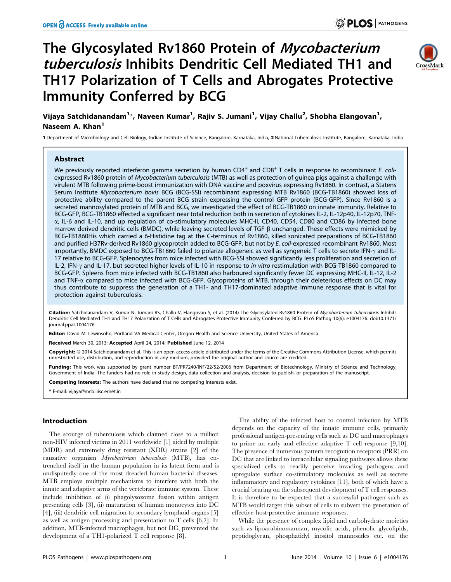# The Glycosylated Rv1860 Protein of Mycobacterium tuberculosis Inhibits Dendritic Cell Mediated TH1 and TH17 Polarization of T Cells and Abrogates Protective Immunity Conferred by BCG



Vijaya Satchidanandam<sup>1</sup>\*, Naveen Kumar<sup>1</sup>, Rajiv S. Jumani<sup>1</sup>, Vijay Challu<sup>2</sup>, Shobha Elangovan<sup>1</sup>, Naseem A. Khan<sup>1</sup>

1 Department of Microbiology and Cell Biology, Indian Institute of Science, Bangalore, Karnataka, India, 2 National Tuberculosis Institute, Bangalore, Karnataka, India

## Abstract

We previously reported interferon gamma secretion by human CD4<sup>+</sup> and CD8<sup>+</sup> T cells in response to recombinant E. coliexpressed Rv1860 protein of Mycobacterium tuberculosis (MTB) as well as protection of guinea pigs against a challenge with virulent MTB following prime-boost immunization with DNA vaccine and poxvirus expressing Rv1860. In contrast, a Statens Serum Institute Mycobacterium bovis BCG (BCG-SSI) recombinant expressing MTB Rv1860 (BCG-TB1860) showed loss of protective ability compared to the parent BCG strain expressing the control GFP protein (BCG-GFP). Since Rv1860 is a secreted mannosylated protein of MTB and BCG, we investigated the effect of BCG-TB1860 on innate immunity. Relative to BCG-GFP, BCG-TB1860 effected a significant near total reduction both in secretion of cytokines IL-2, IL-12p40, IL-12p70, TNFa, IL-6 and IL-10, and up regulation of co-stimulatory molecules MHC-II, CD40, CD54, CD80 and CD86 by infected bone marrow derived dendritic cells (BMDC), while leaving secreted levels of TGF- $\beta$  unchanged. These effects were mimicked by BCG-TB1860His which carried a 6-Histidine tag at the C-terminus of Rv1860, killed sonicated preparations of BCG-TB1860 and purified H37Rv-derived Rv1860 glycoprotein added to BCG-GFP, but not by E. coli-expressed recombinant Rv1860. Most importantly, BMDC exposed to BCG-TB1860 failed to polarize allogeneic as well as syngeneic T cells to secrete IFN- $\gamma$  and IL-17 relative to BCG-GFP. Splenocytes from mice infected with BCG-SSI showed significantly less proliferation and secretion of IL-2, IFN- $\gamma$  and IL-17, but secreted higher levels of IL-10 in response to in vitro restimulation with BCG-TB1860 compared to BCG-GFP. Spleens from mice infected with BCG-TB1860 also harboured significantly fewer DC expressing MHC-II, IL-12, IL-2 and TNF- $\alpha$  compared to mice infected with BCG-GFP. Glycoproteins of MTB, through their deleterious effects on DC may thus contribute to suppress the generation of a TH1- and TH17-dominated adaptive immune response that is vital for protection against tuberculosis.

Citation: Satchidanandam V, Kumar N, Jumani RS, Challu V, Elangovan S, et al. (2014) The Glycosylated Rv1860 Protein of Mycobacterium tuberculosis Inhibits Dendritic Cell Mediated TH1 and TH17 Polarization of T Cells and Abrogates Protective Immunity Conferred by BCG. PLoS Pathog 10(6): e1004176. doi:10.1371/ journal.ppat.1004176

Editor: David M. Lewinsohn, Portland VA Medical Center, Oregon Health and Science University, United States of America

Received March 30, 2013; Accepted April 24, 2014; Published June 12, 2014

Copyright: © 2014 Satchidanandam et al. This is an open-access article distributed under the terms of the [Creative Commons Attribution License,](http://creativecommons.org/licenses/by/4.0/) which permits unrestricted use, distribution, and reproduction in any medium, provided the original author and source are credited.

Funding: This work was supported by grant number BT/PR7240/INF/22/52/2006 from Department of Biotechnology, Ministry of Science and Technology, Government of India. The funders had no role in study design, data collection and analysis, decision to publish, or preparation of the manuscript.

Competing Interests: The authors have declared that no competing interests exist.

\* E-mail: vijaya@mcbl.iisc.ernet.in

## Introduction

The scourge of tuberculosis which claimed close to a million non-HIV infected victims in 2011 worldwide [1] aided by multiple (MDR) and extremely drug resistant (XDR) strains [2] of the causative organism Mycobacterium tuberculosis (MTB), has entrenched itself in the human population in its latent form and is undisputedly one of the most dreaded human bacterial diseases. MTB employs multiple mechanisms to interfere with both the innate and adaptive arms of the vertebrate immune system. These include inhibition of (i) phagolysozome fusion within antigen presenting cells [3], (ii) maturation of human monocytes into DC [4], (iii) dendritic cell migration to secondary lymphoid organs [5] as well as antigen processing and presentation to T cells [6,7]. In addition, MTB-infected macrophages, but not DC, prevented the development of a TH1-polarized T cell response [8].

The ability of the infected host to control infection by MTB depends on the capacity of the innate immune cells, primarily professional antigen-presenting cells such as DC and macrophages to prime an early and effective adaptive T cell response [9,10]. The presence of numerous pattern recognition receptors (PRR) on DC that are linked to intracellular signaling pathways allows these specialized cells to readily perceive invading pathogens and upregulate surface co-stimulatory molecules as well as secrete inflammatory and regulatory cytokines [11], both of which have a crucial bearing on the subsequent development of T cell responses. It is therefore to be expected that a successful pathogen such as MTB would target this subset of cells to subvert the generation of effective host-protective immune responses.

While the presence of complex lipid and carbohydrate moieties such as lipoarabinomannan, mycolic acids, phenolic glycolipids, peptidoglycan, phosphatidyl inositol mannosides etc. on the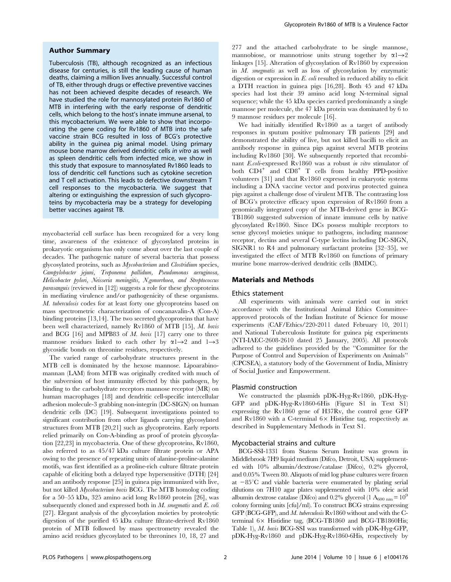### Author Summary

Tuberculosis (TB), although recognized as an infectious disease for centuries, is still the leading cause of human deaths, claiming a million lives annually. Successful control of TB, either through drugs or effective preventive vaccines has not been achieved despite decades of research. We have studied the role for mannosylated protein Rv1860 of MTB in interfering with the early response of dendritic cells, which belong to the host's innate immune arsenal, to this mycobacterium. We were able to show that incorporating the gene coding for Rv1860 of MTB into the safe vaccine strain BCG resulted in loss of BCG's protective ability in the quinea pig animal model. Using primary mouse bone marrow derived dendritic cells in vitro as well as spleen dendritic cells from infected mice, we show in this study that exposure to mannosylated Rv1860 leads to loss of dendritic cell functions such as cytokine secretion and T cell activation. This leads to defective downstream T cell responses to the mycobacteria. We suggest that altering or extinguishing the expression of such glycoproteins by mycobacteria may be a strategy for developing better vaccines against TB.

mycobacterial cell surface has been recognized for a very long time, awareness of the existence of glycosylated proteins in prokaryotic organisms has only come about over the last couple of decades. The pathogenic nature of several bacteria that possess glycosylated proteins, such as Mycobacterium and Clostridium species, Campylobacter jejuni, Treponema pallidum, Pseudomonas aeruginosa, Helicobacter pylori, Neisseria meningitis, N.gonorrhoea, and Streptococcus parasanguis (reviewed in [12]) suggests a role for these glycoproteins in mediating virulence and/or pathogenicity of these organisms. M. tuberculosis codes for at least forty one glycoproteins based on mass spectrometric characterization of concanavalin-A (Con-A) binding proteins [13,14]. The two secreted glycoproteins that have been well characterized, namely Rv1860 of MTB [15], M. bovis and BCG  $[16]$  and MPB83 of M. bovis  $[17]$  carry one to three mannose residues linked to each other by  $\alpha$ 1 $\rightarrow$ 2 and 1 $\rightarrow$ 3 glycosidic bonds on threonine residues, respectively.

The varied range of carbohydrate structures present in the MTB cell is dominated by the hexose mannose. Lipoarabinomannan (LAM) from MTB was originally credited with much of the subversion of host immunity effected by this pathogen, by binding to the carbohydrate receptors mannose receptor (MR) on human macrophages [18] and dendritic cell-specific intercellular adhesion molecule-3 grabbing non-integrin (DC-SIGN) on human dendritic cells (DC) [19]. Subsequent investigations pointed to significant contribution from other ligands carrying glycosylated structures from MTB [20,21] such as glycoproteins. Early reports relied primarily on Con-A-binding as proof of protein glycosylation [22,23] in mycobacteria. One of these glycoproteins, Rv1860, also referred to as 45/47 kDa culture filtrate protein or APA owing to the presence of repeating units of alanine-proline-alanine motifs, was first identified as a proline-rich culture filtrate protein capable of eliciting both a delayed type hypersensitive (DTH) [24] and an antibody response [25] in guinea pigs immunized with live, but not killed Mycobacterium bovis BCG. The MTB homolog coding for a 50–55 kDa, 325 amino acid long Rv1860 protein [26], was subsequently cloned and expressed both in  $M$ . smegmatis and  $E$ . coli [27]. Elegant analysis of the glycosylation moieties by proteolytic digestion of the purified 45 kDa culture filtrate-derived Rv1860 protein of MTB followed by mass spectrometry revealed the amino acid residues glycosylated to be threonines 10, 18, 27 and 277 and the attached carbohydrate to be single mannose, mannobiose, or mannotriose units strung together by  $\alpha l \rightarrow 2$ linkages [15]. Alteration of glycosylation of Rv1860 by expression in M. smegmatis as well as loss of glycosylation by enzymatic digestion or expression in E. coli resulted in reduced ability to elicit a DTH reaction in guinea pigs [16,28]. Both 45 and 47 kDa species had lost their 39 amino acid long N-terminal signal sequence; while the 45 kDa species carried predominantly a single mannose per molecule, the 47 kDa protein was dominated by 6 to 9 mannose residues per molecule [16].

We had initially identified Rv1860 as a target of antibody responses in sputum positive pulmonary TB patients [29] and demonstrated the ability of live, but not killed bacilli to elicit an antibody response in guinea pigs against several MTB proteins including Rv1860 [30]. We subsequently reported that recombinant E.coli-expressed Rv1860 was a robust in vitro stimulator of both  $CD4^+$  and  $CD8^+$  T cells from healthy PPD-positive volunteers [31] and that Rv1860 expressed in eukaryotic systems including a DNA vaccine vector and poxvirus protected guinea pigs against a challenge dose of virulent MTB. The contrasting loss of BCG's protective efficacy upon expression of Rv1860 from a genomically integrated copy of the MTB-derived gene in BCG-TB1860 suggested subversion of innate immune cells by native glycosylated Rv1860. Since DCs possess multiple receptors to sense glycosyl moieties unique to pathogens, including mannose receptor, dectins and several C-type lectins including DC-SIGN, SIGNR1 to R4 and pulmonary surfactant proteins [32–35], we investigated the effect of MTB Rv1860 on functions of primary murine bone marrow-derived dendritic cells (BMDC).

## Materials and Methods

#### Ethics statement

All experiments with animals were carried out in strict accordance with the Institutional Animal Ethics Committeeapproved protocols of the Indian Institute of Science for mouse experiments (CAF/Ethics/220-2011 dated February 10, 2011) and National Tuberculosis Institute for guinea pig experiments (NTI-IAEC-2608-2610 dated 25 January, 2005). All protocols adhered to the guidelines provided by the ''Committee for the Purpose of Control and Supervision of Experiments on Animals'' (CPCSEA), a statutory body of the Government of India, Ministry of Social Justice and Empowerment.

#### Plasmid construction

We constructed the plasmids pDK-Hyg-Rv1860, pDK-Hyg-GFP and pDK-Hyg-Rv1860-6His (Figure S1 in Text S1) expressing the Rv1860 gene of H37Rv, the control gene GFP and Rv1860 with a C-terminal  $6 \times$  Histidine tag, respectively as described in Supplementary Methods in Text S1.

#### Mycobacterial strains and culture

BCG-SSI-1331 from Statens Serum Institute was grown in Middlebrook 7H9 liquid medium (Difco, Detroit, USA) supplemented with 10% albumin/dextrose/catalase (Difco), 0.2% glycerol, and 0.05% Tween 80. Aliquots of mid log phase cultures were frozen at  $-85^{\circ}$ C and viable bacteria were enumerated by plating serial dilutions on 7H10 agar plates supplemented with 10% oleic acid albumin dextrose catalase (Difco) and 0.2% glycerol (1  $A_{600 \text{ nm}} = 10^9$ colony forming units [cfu]/ml). To construct BCG strains expressing GFP (BCG-GFP), and M. tuberculosis Rv1860 without and with the Cterminal  $6 \times$  Histidine tag, (BCG-TB1860 and BCG-TB1860His; Table 1), M. bovis BCG-SSI was transformed with pDK-Hyg-GFP, pDK-Hyg-Rv1860 and pDK-Hyg-Rv1860-6His, respectively by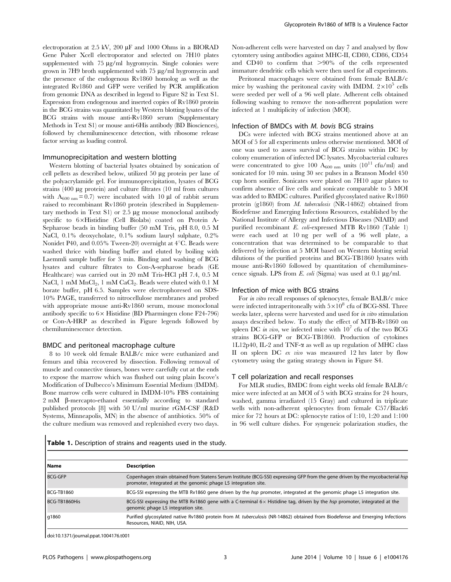electroporation at 2.5 kV, 200  $\mu$ F and 1000 Ohms in a BIORAD Gene Pulser Xcell electroporator and selected on 7H10 plates supplemented with  $75 \mu g/ml$  hygromycin. Single colonies were grown in 7H9 broth supplemented with 75 µg/ml hygromycin and the presence of the endogenous Rv1860 homolog as well as the integrated Rv1860 and GFP were verified by PCR amplification from genomic DNA as described in legend to Figure S2 in Text S1. Expression from endogenous and inserted copies of Rv1860 protein in the BCG strains was quantitated by Western blotting lysates of the BCG strains with mouse anti-Rv1860 serum (Supplementary Methods in Text S1) or mouse anti-6His antibody (BD Biosciences), followed by chemiluminescence detection, with ribosome release factor serving as loading control.

## Immunoprecipitation and western blotting

Western blotting of bacterial lysates obtained by sonication of cell pellets as described below, utilized  $50 \mu$ g protein per lane of the polyacrylamide gel. For immunoprecipitation, lysates of BCG strains (400 mg protein) and culture filtrates (10 ml from cultures with  $A_{600 \text{ nm}} = 0.7$  were incubated with 10 µl of rabbit serum raised to recombinant Rv1860 protein (described in Supplementary methods in Text S1) or  $2.5 \mu$ g mouse monoclonal antibody specific to 6×Histidine (Cell Biolabs) coated on Protein A-Sepharose beads in binding buffer (50 mM Tris, pH 8.0, 0.5 M NaCl, 0.1% deoxycholate, 0.1% sodium lauryl sulphate, 0.2% Nonidet P40, and  $0.05\%$  Tween-20) overnight at  $4^{\circ}$ C. Beads were washed thrice with binding buffer and eluted by boiling with Laemmli sample buffer for 3 min. Binding and washing of BCG lysates and culture filtrates to Con-A-sepharose beads (GE Healthcare) was carried out in 20 mM Tris-HCl pH 7.4, 0.5 M NaCl, 1 mM MnCl<sub>2</sub>, 1 mM CaCl<sub>2</sub>. Beads were eluted with 0.1 M borate buffer, pH 6.5. Samples were electrophoresed on SDS-10% PAGE, transferred to nitrocellulose membranes and probed with appropriate mouse anti-Rv1860 serum, mouse monoclonal antibody specific to  $6 \times$  Histidine (BD Pharmingen clone F24-796) or Con-A-HRP as described in Figure legends followed by chemiluminescence detection.

## BMDC and peritoneal macrophage culture

8 to 10 week old female BALB/c mice were euthanized and femurs and tibia recovered by dissection. Following removal of muscle and connective tissues, bones were carefully cut at the ends to expose the marrow which was flushed out using plain Iscove's Modification of Dulbecco's Minimum Essential Medium (IMDM). Bone marrow cells were cultured in IMDM-10% FBS containing 2 mM b-mercapto-ethanol essentially according to standard published protocols [8] with 50 U/ml murine rGM-CSF (R&D Systems, Minneapolis, MN) in the absence of antibiotics. 50% of the culture medium was removed and replenished every two days.

Non-adherent cells were harvested on day 7 and analysed by flow cytomtery using antibodies against MHC-II, CD80, CD86, CD54 and CD40 to confirm that  $>90\%$  of the cells represented immature dendritic cells which were then used for all experiments.

Peritoneal macrophages were obtained from female BALB/c mice by washing the peritoneal cavity with IMDM.  $2\times10^5$  cells were seeded per well of a 96 well plate. Adherent cells obtained following washing to remove the non-adherent population were infected at 1 multiplicity of infection (MOI).

## Infection of BMDCs with M. bovis BCG strains

DCs were infected with BCG strains mentioned above at an MOI of 5 for all experiments unless otherwise mentioned. MOI of one was used to assess survival of BCG strains within DC by colony enumeration of infected DC lysates. Mycobacterial cultures were concentrated to give 100  $\rm A_{600~nm}$  units  $(10^{11}~\rm{cftu/ml})$  and sonicated for 10 min. using 30 sec pulses in a Branson Model 450 cup horn sonifier. Sonicates were plated on 7H10 agar plates to confirm absence of live cells and sonicate comparable to 5 MOI was added to BMDC cultures. Purified glycosylated native Rv1860 protein (g1860) from M. tuberculosis (NR-14862) obtained from Biodefense and Emerging Infections Resources, established by the National Institute of Allergy and Infectious Diseases (NIAID) and purified recombinant E. coli-expressed MTB Rv1860 (Table 1) were each used at 10 ng per well of a 96 well plate, a concentration that was determined to be comparable to that delivered by infection at 5 MOI based on Western blotting serial dilutions of the purified proteins and BCG-TB1860 lysates with mouse anti-Rv1860 followed by quantitation of chemiluminescence signals. LPS from  $E.$  coli (Sigma) was used at 0.1  $\mu$ g/ml.

#### Infection of mice with BCG strains

For in vitro recall responses of splenocytes, female BALB/c mice were infected intraperitoneally with  $5\times10^8$  cfu of BCG-SSI. Three weeks later, spleens were harvested and used for in vitro stimulation assays described below. To study the effect of MTB-Rv1860 on spleen DC in vivo, we infected mice with  $10<sup>7</sup>$  cfu of the two BCG strains BCG-GFP or BCG-TB1860. Production of cytokines 1L12p40, IL-2 and TNF- $\alpha$  as well as up regulation of MHC class II on spleen DC ex vivo was measured 12 hrs later by flow cytometry using the gating strategy shown in Figure S4.

## T cell polarization and recall responses

For MLR studies, BMDC from eight weeks old female BALB/c mice were infected at an MOI of 5 with BCG strains for 24 hours, washed, gamma irradiated (15 Gray) and cultured in triplicate wells with non-adherent splenocytes from female C57/Black6 mice for 72 hours at DC: splenocyte ratios of 1:10, 1:20 and 1:100 in 96 well culture dishes. For syngeneic polarization studies, the

Table 1. Description of strains and reagents used in the study.

| l Name            | <b>Description</b>                                                                                                                                                                               |  |
|-------------------|--------------------------------------------------------------------------------------------------------------------------------------------------------------------------------------------------|--|
| <b>BCG-GFP</b>    | Copenhagen strain obtained from Statens Serum Institute (BCG-SSI) expressing GFP from the gene driven by the mycobacterial hsp<br>promoter, integrated at the genomic phage L5 integration site. |  |
| <b>BCG-TB1860</b> | BCG-SSI expressing the MTB Rv1860 gene driven by the hsp promoter, integrated at the genomic phage L5 integration site.                                                                          |  |
| BCG-TB1860His     | BCG-SSI expressing the MTB Rv1860 gene with a C-terminal $6 \times$ Histidine tag, driven by the hsp promoter, integrated at the<br>genomic phage L5 integration site.                           |  |
| q1860             | Purified glycosylated native Rv1860 protein from M. tuberculosis (NR-14862) obtained from Biodefense and Emerging Infections<br>Resources, NIAID, NIH, USA.                                      |  |

doi:10.1371/journal.ppat.1004176.t001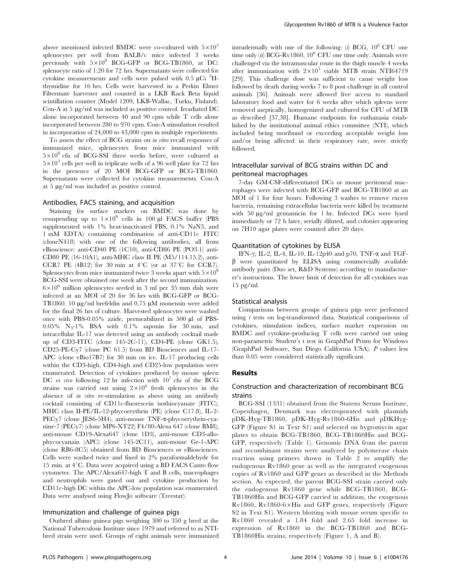above mentioned infected BMDC were co-cultured with  $5\times10^5$ splenocytes per well from BALB/c mice infected 3 weeks previously with  $5\times10^8$  BCG-GFP or BCG-TB1860, at DC: splenocyte ratio of 1:20 for 72 hrs. Supernatants were collected for cytokine measurements and cells were pulsed with  $0.5 \mu\mathrm{Ci}^{-3}$ Hthymidine for 16 hrs. Cells were harvested in a Perkin Elmer Filtermate harvester and counted in a LKB Rack Beta liquid scintillation counter (Model 1209, LKB-Wallac, Turku, Finland). Con-A at 5 µg/ml was included as positive control. Irradiated DC alone incorporated between 40 and 90 cpm while T cells alone incorporated between 280 to 970 cpm. Con-A stimulation resulted in incorporation of 24,000 to 43,000 cpm in multiple experiments.

To assess the effect of BCG strains on in vitro recall responses of immunized mice, splenocytes from mice immunized with  $5\times10^8$  cfu of BCG-SSI three weeks before, were cultured at  $5\times10^5$  cells per well in triplicate wells of a 96 well plate for 72 hrs in the presence of 20 MOI BCG-GFP or BCG-TB1860. Supernatants were collected for cytokine measurements. Con-A at  $5 \mu g/ml$  was included as positive control.

## Antibodies, FACS staining, and acquisition

Staining for surface markers on BMDC was done by resuspending up to  $1\times10^6$  cells in 100 µl FACS buffer (PBS supplemented with 1% heat-inactivated FBS, 0.1% NaN3, and 1 mM EDTA) containing combination of anti-CD11c FITC (cloneN418) with one of the following antibodies, all from eBioscience: anti-CD40 PE (1C10), anti-CD86 PE (PO3.1) anti-CD80 PE (16-10A1), anti-MHC class II PE (M5/114.15.2), anti-CCR7 PE (4B12) for 30 min at  $4^{\circ}$ C (or at 37 $^{\circ}$ C for CCR7). Splenocytes from mice immunized twice 3 weeks apart with  $5\times10^8$ BCG-SSI were obtained one week after the second immunization.  $6\times10^6$  million splenocytes seeded in 3 ml per 35 mm dish were infected at an MOI of 20 for 36 hrs with BCG-GFP or BCG-TB1860. 10  $\mu$ g/ml brefeldin and 0.75  $\mu$ M monensin were added for the final 26 hrs of culture. Harvested splenocytes were washed once with PBS-0.05% azide, permeabilized in 500  $\mu$ l of PBS-0.05%  $N_3-1\%$  BSA with 0.1% saponin for 30 min. and intracellular IL-17 was detected using an antibody cocktail made up of CD3-FITC (clone 145-2C-11), CD4-PE (clone GK1.5), CD25-PE-Cy7 (clone PC 61.5) from BD Biosciences and IL-17- APC (clone eBio17B7) for 30 min on ice. IL-17 producing cells within the CD3-high, CD4-high and CD25-low population were enumerated. Detection of cytokines produced by mouse spleen DC ex vivo following 12 hr infection with  $10^7$  cfu of the BCG strains was carried out using  $2\times10^6$  fresh splenocytes in the absence of *in vitro* re-stimulation as above using an antibody cocktail consisting of CD11c-fluorescein isothiocyanate (FITC), MHC class II-PE/IL-12-phycoerythrin (PE) (clone C17.8), IL-2- PEC<sub>V</sub>7 (clone JES6-5H4), anti-mouse TNF-α-phycoerythrin-cyanine-7 (PECy7) (clone MP6-XT22) F4/80-Alexa 647 (clone BM8), anti-mouse CD19-Alexa647 (clone 1D3), anti-mouse CD3-allophycocyanain (APC) (clone 145-2C11), anti-mouse Gr-1-APC (clone RB6-8C5) obtained from BD Biosciences or eBiosciences. Cells were washed twice and fixed in 2% paraformaldehyde for 15 min. at  $4^{\circ}$ C. Data were acquired using a BD FACS Canto flow cytometer. The APC/Alexa647-high T and B cells, macrophages and neutrophils were gated out and cytokine production by CD11c-high DC within the APC-low population was enumerated. Data were analysed using FlowJo software (Treestar).

#### Immunization and challenge of guinea pigs

Outbred albino guinea pigs weighing 300 to 350 g bred at the National Tuberculosis Institute since 1979 and referred to as NTIbred strain were used. Groups of eight animals were immunized intradermally with one of the following: (i) BCG,  $10^6$  CFU one time only (ii) BCG-Rv1860,  $10^6$  CFU one time only. Animals were challenged via the intramuscular route in the thigh muscle 4 weeks after immunization with  $2\times10^5$  viable MTB strain NTI64719 [29]. This challenge dose was sufficient to cause weight loss followed by death during weeks 7 to 8 post challenge in all control animals [36]. Animals were allowed free access to standard laboratory food and water for 6 weeks after which spleens were removed aseptically, homogenized and cultured for CFU of MTB as described [37,38]. Humane endpoints for euthanasia established by the institutional animal ethics committee (NTI), which included being moribund or exceeding acceptable weight loss and/or being affected in their respiratory rate, were strictly followed.

# Intracellular survival of BCG strains within DC and peritoneal macrophages

7-day GM-CSF-differentiated DCs or mouse peritoneal macrophages were infected with BCG-GFP and BCG-TB1860 at an MOI of 1 for four hours. Following 3 washes to remove excess bacteria, remaining extracellular bacteria were killed by treatment with 50  $\mu$ g/ml gentamicin for 1 hr. Infected DCs were lysed immediately or 72 h later, serially diluted, and colonies appearing on 7H10 agar plates were counted after 20 days.

#### Quantitation of cytokines by ELISA

IFN- $\gamma$ , IL-2, IL-4, IL-10, IL-12p40 and p70, TNF- $\alpha$  and TGF- $\beta$  were quantitated by ELISA using commercially available antibody pairs (Duo set, R&D Systems) according to manufacturer's instructions. The lower limit of detection for all cytokines was 15 pg/ml.

#### Statistical analysis

Comparisons between groups of guinea pigs were performed using  $t$  tests on log-transformed data. Statistical comparisons of cytokines, stimulation indices, surface marker expression on BMDC and cytokine-producing T cells were carried out using non-parametric Student's t test in GraphPad Prism for Windows (GraphPad Software, San Diego California USA). P values less than 0.05 were considered statistically significant.

## Results

# Construction and characterization of recombinant BCG strains

BCG-SSI (1331) obtained from the Statens Serum Institute, Copenhagen, Denmark was electroporated with plasmids pDK-Hyg-TB1860, pDK-Hyg-Rv1860-6His and pDKHyg-GFP (Figure S1 in Text S1) and selected on hygromycin agar plates to obtain BCG-TB1860, BCG-TB1860His and BCG-GFP, respectively (Table 1). Genomic DNA from the parent and recombinant strains were analyzed by polymerase chain reaction using primers shown in Table 2 to amplify the endogenous Rv1860 gene as well as the integrated exogenous copies of Rv1860 and GFP genes as described in the Methods section. As expected, the parent BCG-SSI strain carried only the endogenous Rv1860 gene while BCG-TB1860, BCG-TB1860His and BCG-GFP carried in addition, the exogenous Rv1860, Rv1860-6×His and GFP genes, respectively (Figure S2 in Text S1). Western blotting with mouse serum specific to Rv1860 revealed a 1.84 fold and 2.65 fold increase in expression of Rv1860 in the BCG-TB1860 and BCG-TB1860His strains, respectively (Figure 1, A and B).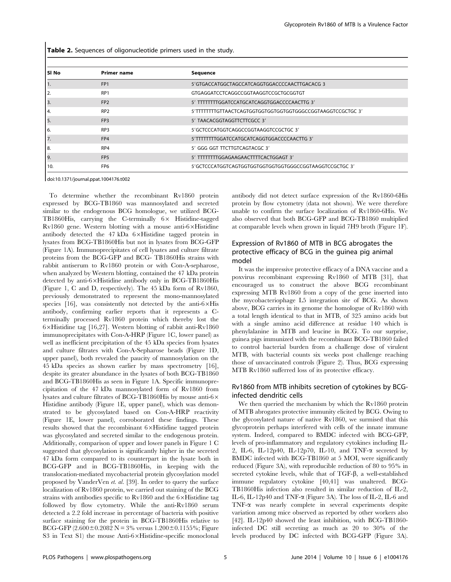Table 2. Sequences of oligonucleotide primers used in the study.

| l SINo        | <b>Primer name</b> | Sequence                                                  |
|---------------|--------------------|-----------------------------------------------------------|
|               | FP <sub>1</sub>    | 5'GTGACCATGGCTAGCCATCAGGTGGACCCCAACTTGACACG 3             |
| l 2.          | RP <sub>1</sub>    | GTGAGGATCCTCAGGCCGGTAAGGTCCGCTGCGGTGT                     |
| 3.            | FP <sub>2</sub>    | 5' TTTTTTTTGGATCCATGCATCAGGTGGACCCCAACTTG 3'              |
| <sup>4.</sup> | RP <sub>2</sub>    | 5'TTTTTTTGTTAACTCAGTGGTGGTGGTGGTGGTGGCCGGTAAGGTCCGCTGC 3' |
| ١5.           | FP <sub>3</sub>    | 5' TAACACGGTAGGTTCTTCGCC 3'                               |
| 16.           | RP3                | 5'GCTCCCATGGTCAGGCCGGTAAGGTCCGCTGC 3'                     |
| 17.           | FP4                | 5'TTTTTTTTGGATCCATGCATCAGGTGGACCCCAACTTG 3'               |
| l 8.          | RP4                | 5' GGG GGT TTCTTGTCAGTACGC 3'                             |
| I 9.          | FP <sub>5</sub>    | 5' TTTTTTTGGAGAAGAACTTTTCACTGGAGT 3'                      |
| 10.           | FP <sub>6</sub>    | 5'GCTCCCATGGTCAGTGGTGGTGGTGGTGGTGGCCGGTAAGGTCCGCTGC 3'    |
|               |                    |                                                           |

doi:10.1371/journal.ppat.1004176.t002

To determine whether the recombinant Rv1860 protein expressed by BCG-TB1860 was mannosylated and secreted similar to the endogenous BCG homologue, we utilized BCG-TB1860His, carrying the C-terminally  $6 \times$  Histidine-tagged  $Rv1860$  gene. Western blotting with a mouse anti- $6 \times H$ istidine antibody detected the  $47 \text{ kDa}$  6 $\times$ Histidine tagged protein in lysates from BCG-TB1860His but not in lysates from BCG-GFP (Figure 1A). Immunoprecipitates of cell lysates and culture filtrate proteins from the BCG-GFP and BCG- TB1860His strains with rabbit antiserum to Rv1860 protein or with Con-A-sepharose, when analyzed by Western blotting, contained the 47 kDa protein detected by anti-6×Histidine antibody only in BCG-TB1860His (Figure 1, C and D, respectively). The 45 kDa form of Rv1860, previously demonstrated to represent the mono-mannosylated species [16], was consistently not detected by the anti- $6 \times His$ antibody, confirming earlier reports that it represents a Cterminally processed Rv1860 protein which thereby lost the  $6 \times$ Histidine tag [16,27]. Western blotting of rabbit anti-Rv1860 immunoprecipitates with Con-A-HRP (Figure 1C, lower panel) as well as inefficient precipitation of the 45 kDa species from lysates and culture filtrates with Con-A-Sepharose beads (Figure 1D, upper panel), both revealed the paucity of mannosylation on the 45 kDa species as shown earlier by mass spectrometry [16], despite its greater abundance in the lysates of both BCG-TB1860 and BCG-TB1860His as seen in Figure 1A. Specific immunoprecipitation of the 47 kDa mannosylated form of Rv1860 from lysates and culture filtrates of BCG-TB1860His by mouse anti- $6 \times$ Histidine antibody (Figure 1E, upper panel), which was demonstrated to be glycosylated based on Con-A-HRP reactivity (Figure 1E, lower panel), corroborated these findings. These results showed that the recombinant  $6 \times H$ istidine tagged protein was glycosylated and secreted similar to the endogenous protein. Additionally, comparison of upper and lower panels in Figure 1 C suggested that glycosylation is significantly higher in the secreted 47 kDa form compared to its counterpart in the lysate both in BCG-GFP and in BCG-TB1860His, in keeping with the translocation-mediated mycobacterial protein glycosylation model proposed by VanderVen et. al. [39]. In order to query the surface localization of Rv1860 protein, we carried out staining of the BCG strains with antibodies specific to Rv1860 and the  $6 \times$ Histidine tag followed by flow cytometry. While the anti-Rv1860 serum detected a 2.2 fold increase in percentage of bacteria with positive surface staining for the protein in BCG-TB1860His relative to BCG-GFP  $(2.600 \pm 0.2082 \text{ N} = 3\% \text{ versus } 1.200 \pm 0.1155\%; \text{Figure}$ S3 in Text S1) the mouse Anti- $6 \times$ Histidine-specific monoclonal

antibody did not detect surface expression of the Rv1860-6His protein by flow cytometry (data not shown). We were therefore unable to confirm the surface localization of Rv1860-6His. We also observed that both BCG-GFP and BCG-TB1860 multiplied at comparable levels when grown in liquid 7H9 broth (Figure 1F).

# Expression of Rv1860 of MTB in BCG abrogates the protective efficacy of BCG in the guinea pig animal model

It was the impressive protective efficacy of a DNA vaccine and a poxvirus recombinant expressing Rv1860 of MTB [31], that encouraged us to construct the above BCG recombinant expressing MTB Rv1860 from a copy of the gene inserted into the mycobacteriophage L5 integration site of BCG. As shown above, BCG carries in its genome the homologue of Rv1860 with a total length identical to that in MTB, of 325 amino acids but with a single amino acid difference at residue 140 which is phenylalanine in MTB and leucine in BCG. To our surprise, guinea pigs immunized with the recombinant BCG-TB1860 failed to control bacterial burden from a challenge dose of virulent MTB, with bacterial counts six weeks post challenge reaching those of unvaccinated controls (Figure 2). Thus, BCG expressing MTB Rv1860 sufferred loss of its protective efficacy.

## Rv1860 from MTB inhibits secretion of cytokines by BCGinfected dendritic cells

We then queried the mechanism by which the Rv1860 protein of MTB abrogates protective immunity elicited by BCG. Owing to the glycosylated nature of native Rv1860, we surmised that this glycoprotein perhaps interfered with cells of the innate immune system. Indeed, compared to BMDC infected with BCG-GFP, levels of pro-inflammatory and regulatory cytokines including IL-2, IL-6, IL-12p40, IL-12p70, IL-10, and TNF-a secreted by BMDC infected with BCG-TB1860 at 5 MOI, were significantly reduced (Figure 3A), with reproducible reduction of 80 to 95% in secreted cytokine levels, while that of  $TGF- $\beta$ , a well-established$ immune regulatory cytokine [40,41] was unaltered. BCG-TB1860His infection also resulted in similar reduction of IL-2, IL-6, IL-12p40 and TNF-a (Figure 3A). The loss of IL-2, IL-6 and TNF-a was nearly complete in several experiments despite variation among mice observed as reported by other workers also [42]. IL-12p40 showed the least inhibition, with BCG-TB1860 infected DC still secreting as much as 20 to 30% of the levels produced by DC infected with BCG-GFP (Figure 3A).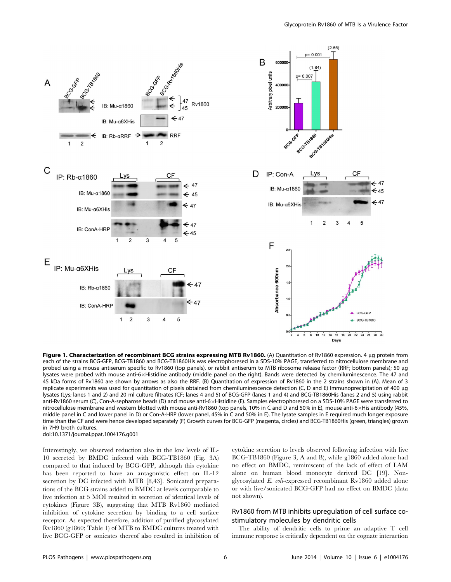

Figure 1. Characterization of recombinant BCG strains expressing MTB Rv1860. (A) Quantitation of Rv1860 expression. 4 µq protein from each of the strains BCG-GFP, BCG-TB1860 and BCG-TB1860His was electrophoresed in a SDS-10% PAGE, transferred to nitrocellulose membrane and probed using a mouse antiserum specific to Rv1860 (top panels), or rabbit antiserum to MTB ribosome release factor (RRF; bottom panels); 50 µg lysates were probed with mouse anti-6×Histidine antibody (middle panel on the right). Bands were detected by chemiluminescence. The 47 and 45 kDa forms of Rv1860 are shown by arrows as also the RRF. (B) Quantitation of expression of Rv1860 in the 2 strains shown in (A). Mean of 3 replicate experiments was used for quantitation of pixels obtained from chemiluminescence detection (C, D and E) Immunoprecipitation of 400 µq lysates (Lys; lanes 1 and 2) and 20 ml culture filtrates (CF; lanes 4 and 5) of BCG-GFP (lanes 1 and 4) and BCG-TB1860His (lanes 2 and 5) using rabbit anti-Rv1860 serum (C), Con-A-sepharose beads (D) and mouse anti-6xHistidine (E). Samples electrophoresed on a SDS-10% PAGE were transferred to nitrocellulose membrane and western blotted with mouse anti-Rv1860 (top panels, 10% in C and D and 50% in E), mouse anti-6×His antibody (45%, middle panel in C and lower panel in D) or Con-A-HRP (lower panel, 45% in C and 50% in E). The lysate samples in E required much longer exposure time than the CF and were hence developed separately (F) Growth curves for BCG-GFP (magenta, circles) and BCG-TB1860His (green, triangles) grown in 7H9 broth cultures.

doi:10.1371/journal.ppat.1004176.g001

Interestingly, we observed reduction also in the low levels of IL-10 secreted by BMDC infected with BCG-TB1860 (Fig. 3A) compared to that induced by BCG-GFP, although this cytokine has been reported to have an antagonistic effect on IL-12 secretion by DC infected with MTB [8,43]. Sonicated preparations of the BCG strains added to BMDC at levels comparable to live infection at 5 MOI resulted in secretion of identical levels of cytokines (Figure 3B), suggesting that MTB Rv1860 mediated inhibition of cytokine secretion by binding to a cell surface receptor. As expected therefore, addition of purified glycosylated Rv1860 (g1860; Table 1) of MTB to BMDC cultures treated with live BCG-GFP or sonicates thereof also resulted in inhibition of cytokine secretion to levels observed following infection with live BCG-TB1860 (Figure 3, A and B), while g1860 added alone had no effect on BMDC, reminiscent of the lack of effect of LAM alone on human blood monocyte derived DC [19]. Nonglycosylated E. coli-expressed recombinant Rv1860 added alone or with live/sonicated BCG-GFP had no effect on BMDC (data not shown).

# Rv1860 from MTB inhibits upregulation of cell surface costimulatory molecules by dendritic cells

The ability of dendritic cells to prime an adaptive T cell immune response is critically dependent on the cognate interaction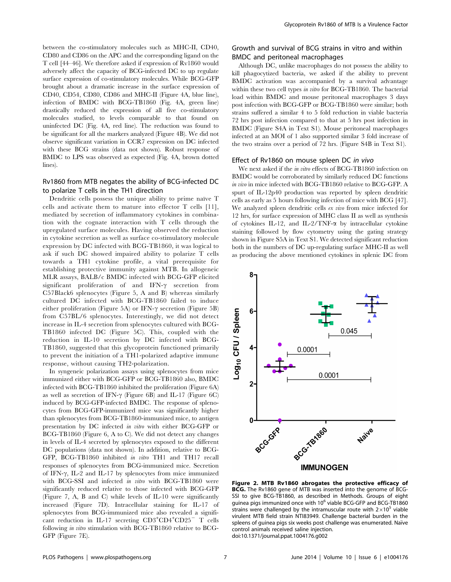between the co-stimulatory molecules such as MHC-II, CD40, CD80 and CD86 on the APC and the corresponding ligand on the T cell [44–46]. We therefore asked if expression of Rv1860 would adversely affect the capacity of BCG-infected DC to up regulate surface expression of co-stimulatory molecules. While BCG-GFP brought about a dramatic increase in the surface expression of CD40, CD54, CD80, CD86 and MHC-II (Figure 4A, blue line), infection of BMDC with BCG-TB1860 (Fig. 4A, green line) drastically reduced the expression of all five co-stimulatory molecules studied, to levels comparable to that found on uninfected DC (Fig. 4A, red line). The reduction was found to be significant for all the markers analyzed (Figure 4B). We did not observe significant variation in CCR7 expression on DC infected with these BCG strains (data not shown). Robust response of BMDC to LPS was observed as expected (Fig. 4A, brown dotted lines).

## Rv1860 from MTB negates the ability of BCG-infected DC to polarize T cells in the TH1 direction

Dendritic cells possess the unique ability to prime naïve T cells and activate them to mature into effector T cells [11], mediated by secretion of inflammatory cytokines in combination with the cognate interaction with T cells through the upregulated surface molecules. Having observed the reduction in cytokine secretion as well as surface co-stimulatory molecule expression by DC infected with BCG-TB1860, it was logical to ask if such DC showed impaired ability to polarize T cells towards a TH1 cytokine profile, a vital prerequisite for establishing protective immunity against MTB. In allogeneic MLR assays, BALB/c BMDC infected with BCG-GFP elicited significant proliferation of and IFN- $\gamma$  secretion from C57Black6 splenocytes (Figure 5, A and B) whereas similarly cultured DC infected with BCG-TB1860 failed to induce either proliferation (Figure 5A) or IFN- $\gamma$  secretion (Figure 5B) from C57BL/6 splenocytes. Interestingly, we did not detect increase in IL-4 secretion from splenocytes cultured with BCG-TB1860 infected DC (Figure 5C). This, coupled with the reduction in IL-10 secretion by DC infected with BCG-TB1860, suggested that this glycoprotein functioned primarily to prevent the initiation of a TH1-polarized adaptive immune response, without causing TH2-polarization.

In syngeneic polarization assays using splenocytes from mice immunized either with BCG-GFP or BCG-TB1860 also, BMDC infected with BCG-TB1860 inhibited the proliferation (Figure 6A) as well as secretion of IFN- $\gamma$  (Figure 6B) and IL-17 (Figure 6C) induced by BCG-GFP-infected BMDC. The response of splenocytes from BCG-GFP-immunized mice was significantly higher than splenocytes from BCG-TB1860-immunized mice, to antigen presentation by DC infected in vitro with either BCG-GFP or BCG-TB1860 (Figure 6, A to C). We did not detect any changes in levels of IL-4 secreted by splenocytes exposed to the different DC populations (data not shown). In addition, relative to BCG-GFP, BCG-TB1860 inhibited in vitro TH1 and TH17 recall responses of splenocytes from BCG-immunized mice. Secretion of IFN- $\gamma$ , IL-2 and IL-17 by splenocytes from mice immunized with BCG-SSI and infected in vitro with BCG-TB1860 were significantly reduced relative to those infected with BCG-GFP (Figure 7, A, B and C) while levels of IL-10 were significantly increased (Figure 7D). Intracellular staining for IL-17 of splenocytes from BCG-immunized mice also revealed a significant reduction in IL-17 secreting  $CD3+CD4+CD25$ <sup>-</sup> T cells following *in vitro* stimulation with BCG-TB1860 relative to BCG-GFP (Figure 7E).

# Growth and survival of BCG strains in vitro and within BMDC and peritoneal macrophages

Although DC, unlike macrophages do not possess the ability to kill phagocytized bacteria, we asked if the ability to prevent BMDC activation was accompanied by a survival advantage within these two cell types in vitro for BCG-TB1860. The bacterial load within BMDC and mouse peritoneal macrophages 3 days post infection with BCG-GFP or BCG-TB1860 were similar; both strains suffered a similar 4 to 5 fold reduction in viable bacteria 72 hrs post infection compared to that at 5 hrs post infection in BMDC (Figure S4A in Text S1). Mouse peritoneal macrophages infected at an MOI of 1 also supported similar 3 fold increase of the two strains over a period of 72 hrs. (Figure S4B in Text S1).

#### Effect of Rv1860 on mouse spleen DC in vivo

We next asked if the *in vitro* effects of BCG-TB1860 infection on BMDC would be corroborated by similarly reduced DC functions in vivo in mice infected with BCG-TB1860 relative to BCG-GFP. A spurt of IL-12p40 production was reported by spleen dendritic cells as early as 5 hours following infection of mice with BCG [47]. We analyzed spleen dendritic cells ex vivo from mice infected for 12 hrs, for surface expression of MHC class II as well as synthesis of cytokines IL-12, and IL-2/TNF-a by intracellular cytokine staining followed by flow cytometry using the gating strategy shown in Figure S5A in Text S1. We detected significant reduction both in the numbers of DC up-regulating surface MHC-II as well as producing the above mentioned cytokines in splenic DC from



Figure 2. MTB Rv1860 abrogates the protective efficacy of BCG. The Rv1860 gene of MTB was inserted into the genome of BCG-SSI to give BCG-TB1860, as described in Methods. Groups of eight guinea pigs immunized once with 10<sup>6</sup> viable BCG-GFP and BCG-TB1860 strains were challenged by the intramuscular route with  $2\times10^5$  viable virulent MTB field strain NTI83949. Challenge bacterial burden in the spleens of guinea pigs six weeks post challenge was enumerated. Naïve control animals received saline injection. doi:10.1371/journal.ppat.1004176.g002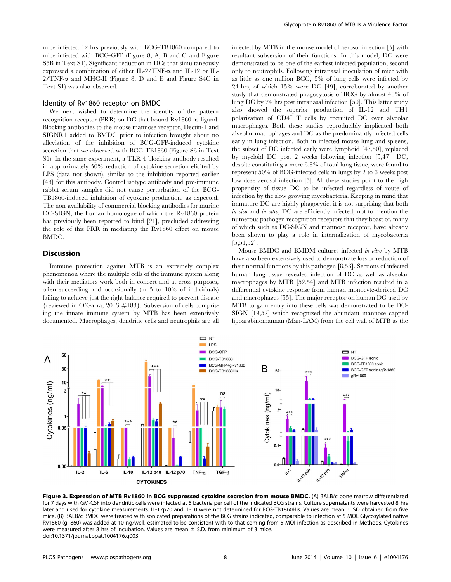mice infected 12 hrs previously with BCG-TB1860 compared to mice infected with BCG-GFP (Figure 8, A, B and C and Figure S5B in Text S1). Significant reduction in DCs that simultaneously expressed a combination of either IL-2/TNF-a and IL-12 or IL- $2/TNF-\alpha$  and MHC-II (Figure 8, D and E and Figure S4C in Text S1) was also observed.

## Identity of Rv1860 receptor on BMDC

We next wished to determine the identity of the pattern recognition receptor (PRR) on DC that bound Rv1860 as ligand. Blocking antibodies to the mouse mannose receptor, Dectin-1 and SIGNR1 added to BMDC prior to infection brought about no alleviation of the inhibition of BCG-GFP-induced cytokine secretion that we observed with BCG-TB1860 (Figure S6 in Text S1). In the same experiment, a TLR-4 blocking antibody resulted in approximately 50% reduction of cytokine secretion elicited by LPS (data not shown), similar to the inhibition reported earlier [48] for this antibody. Control isotype antibody and pre-immune rabbit serum samples did not cause perturbation of the BCG-TB1860-induced inhibition of cytokine production, as expected. The non-availability of commercial blocking antibodies for murine DC-SIGN, the human homologue of which the Rv1860 protein has previously been reported to bind [21], precluded addressing the role of this PRR in mediating the Rv1860 effect on mouse BMDC.

## **Discussion**

Immune protection against MTB is an extremely complex phenomenon where the multiple cells of the immune system along with their mediators work both in concert and at cross purposes, often succeeding and occasionally (in 5 to 10% of individuals) failing to achieve just the right balance required to prevent disease {reviewed in O'Garra, 2013 #183}. Subversion of cells comprising the innate immune system by MTB has been extensively documented. Macrophages, dendritic cells and neutrophils are all infected by MTB in the mouse model of aerosol infection [5] with resultant subversion of their functions. In this model, DC were demonstrated to be one of the earliest infected population, second only to neutrophils. Following intranasal inoculation of mice with as little as one million BCG, 5% of lung cells were infected by 24 hrs, of which 15% were DC [49], corroborated by another study that demonstrated phagocytosis of BCG by almost 40% of lung DC by 24 hrs post intranasal infection [50]. This latter study also showed the superior production of IL-12 and TH1 polarization of CD4<sup>+</sup> T cells by recruited DC over alveolar macrophages. Both these studies reproducibly implicated both alveolar macrophages and DC as the predominantly infected cells early in lung infection. Both in infected mouse lung and spleens, the subset of DC infected early were lymphoid [47,50], replaced by myeloid DC post 2 weeks following infection [5,47]. DC, despite constituting a mere 6.8% of total lung tissue, were found to represent 50% of BCG-infected cells in lungs by 2 to 3 weeks post low dose aerosol infection [5]. All these studies point to the high propensity of tissue DC to be infected regardless of route of infection by the slow growing mycobacteria. Keeping in mind that immature DC are highly phagocytic, it is not surprising that both in vivo and in vitro, DC are efficiently infected, not to mention the numerous pathogen recognition receptors that they boast of, many of which such as DC-SIGN and mannose receptor, have already been shown to play a role in internalization of mycobacteria [5,51,52].

Mouse BMDC and BMDM cultures infected in vitro by MTB have also been extensively used to demonstrate loss or reduction of their normal functions by this pathogen [8,53]. Sections of infected human lung tissue revealed infection of DC as well as alveolar macrophages by MTB [52,54] and MTB infection resulted in a differential cytokine response from human monocyte-derived DC and macrophages [55]. The major receptor on human DC used by MTB to gain entry into these cells was demonstrated to be DC-SIGN [19,52] which recognized the abundant mannose capped lipoarabinomannan (Man-LAM) from the cell wall of MTB as the



Figure 3. Expression of MTB Rv1860 in BCG suppressed cytokine secretion from mouse BMDC. (A) BALB/c bone marrow differentiated for 7 days with GM-CSF into dendritic cells were infected at 5 bacteria per cell of the indicated BCG strains. Culture supernatants were harvested 8 hrs later and used for cytokine measurements. IL-12p70 and IL-10 were not determined for BCG-TB1860His. Values are mean  $\pm$  SD obtained from five mice. (B) BALB/c BMDC were treated with sonicated preparations of the BCG strains indicated, comparable to infection at 5 MOI. Glycosylated native Rv1860 (g1860) was added at 10 ng/well, estimated to be consistent with to that coming from 5 MOI infection as described in Methods. Cytokines were measured after 8 hrs of incubation. Values are mean  $\pm$  S.D. from minimum of 3 mice. doi:10.1371/journal.ppat.1004176.g003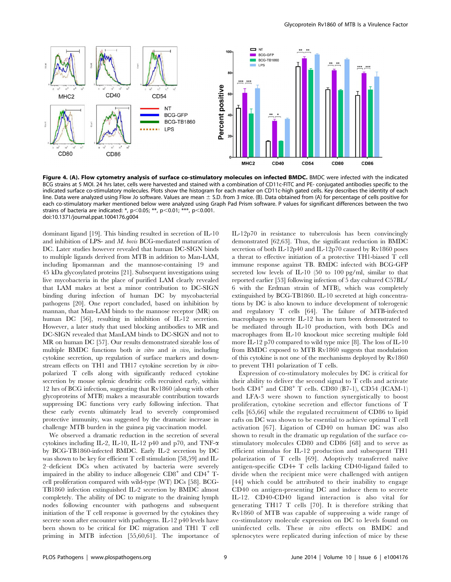

Figure 4. (A). Flow cytometry analysis of surface co-stimulatory molecules on infected BMDC. BMDC were infected with the indicated BCG strains at 5 MOI. 24 hrs later, cells were harvested and stained with a combination of CD11c-FITC and PE- conjugated antibodies specific to the indicated surface co-stimulatory molecules. Plots show the histogram for each marker on CD11c-high gated cells. Key describes the identity of each line. Data were analyzed using Flow Jo software. Values are mean  $\pm$  S.D. from 3 mice. (B). Data obtained from (A) for percentage of cells positive for each co-stimulatory marker mentioned below were analyzed using Graph Pad Prism software. P values for significant differences between the two strains of bacteria are indicated: \*, p $<$ 0.05; \*\*, p $<$ 0.01; \*\*\*, p $<$ 0.001. doi:10.1371/journal.ppat.1004176.g004

dominant ligand [19]. This binding resulted in secretion of IL-10 and inhibition of LPS- and *M. bovis* BCG-mediated maturation of DC. Later studies however revealed that human DC-SIGN binds to multiple ligands derived from MTB in addition to Man-LAM, including lipomannan and the mannose-containing 19 and 45 kDa glycosylated proteins [21]. Subsequent investigations using live mycobacteria in the place of purified LAM clearly revealed that LAM makes at best a minor contribution to DC-SIGN binding during infection of human DC by mycobacterial pathogens [20]. One report concluded, based on inhibition by mannan, that Man-LAM binds to the mannose receptor (MR) on human DC [56], resulting in inhibition of IL-12 secretion. However, a later study that used blocking antibodies to MR and DC-SIGN revealed that ManLAM binds to DC-SIGN and not to MR on human DC [57]. Our results demonstrated sizeable loss of multiple BMDC functions both in vitro and in vivo, including cytokine secretion, up regulation of surface markers and downstream effects on TH1 and TH17 cytokine secretion by in vitropolarized T cells along with significantly reduced cytokine secretion by mouse splenic dendritic cells recruited early, within 12 hrs of BCG infection, suggesting that Rv1860 (along with other glycoproteins of MTB) makes a measurable contribution towards suppressing DC functions very early following infection. That these early events ultimately lead to severely compromised protective immunity, was suggested by the dramatic increase in challenge MTB burden in the guinea pig vaccination model.

We observed a dramatic reduction in the secretion of several cytokines including IL-2, IL-10, IL-12 p40 and p70, and TNF- $\alpha$ by BCG-TB1860-infected BMDC. Early IL-2 secretion by DC was shown to be key for efficient T cell stimulation [58,59] and IL-2–deficient DCs when activated by bacteria were severely impaired in the ability to induce allogeneic  $CD8^+$  and  $CD4^+$  Tcell proliferation compared with wild-type (WT) DCs [58]. BCG-TB1860 infection extinguished IL-2 secretion by BMDC almost completely. The ability of DC to migrate to the draining lymph nodes following encounter with pathogens and subsequent initiation of the T cell response is governed by the cytokines they secrete soon after encounter with pathogens. IL-12 p40 levels have been shown to be critical for DC migration and TH1 T cell priming in MTB infection [55,60,61]. The importance of IL-12p70 in resistance to tuberculosis has been convincingly demonstrated [62,63]. Thus, the significant reduction in BMDC secretion of both IL-12p40 and IL-12p70 caused by Rv1860 poses a threat to effective initiation of a protective TH1-biased T cell immune response against TB. BMDC infected with BCG-GFP secreted low levels of IL-10 (50 to 100 pg/ml, similar to that reported earlier [53] following infection of 5 day cultured C57BL/ 6 with the Erdman strain of MTB), which was completely extinguished by BCG-TB1860. IL-10 secreted at high concentrations by DC is also known to induce development of tolerogenic and regulatory T cells [64]. The failure of MTB-infected macrophages to secrete IL-12 has in turn been demonstrated to be mediated through IL-10 production, with both DCs and macrophages from IL-10 knockout mice secreting multiple fold more IL-12 p70 compared to wild type mice [8]. The loss of IL-10 from BMDC exposed to MTB Rv1860 suggests that modulation of this cytokine is not one of the mechanisms deployed by Rv1860 to prevent TH1 polarization of T cells.

Expression of co-stimulatory molecules by DC is critical for their ability to deliver the second signal to T cells and activate both  $CD4^+$  and  $CD8^+$  T cells. CD80 (B7-1), CD54 (ICAM-1) and LFA-3 were shown to function synergistically to boost proliferation, cytokine secretion and effector functions of T cells [65,66] while the regulated recruitment of CD86 to lipid rafts on DC was shown to be essential to achieve optimal T cell activation [67]. Ligation of CD40 on human DC was also shown to result in the dramatic up regulation of the surface costimulatory molecules CD80 and CD86 [68] and to serve as efficient stimulus for IL-12 production and subsequent TH1 polarization of T cells [69]. Adoptively transferred naïve antigen-specific CD4+ T cells lacking CD40-ligand failed to divide when the recipient mice were challenged with antigen [44] which could be attributed to their inability to engage CD40 on antigen-presenting DC and induce them to secrete IL-12. CD40-CD40 ligand interaction is also vital for generating TH17 T cells [70]. It is therefore striking that Rv1860 of MTB was capable of suppressing a wide range of co-stimulatory molecule expression on DC to levels found on uninfected cells. These in vitro effects on BMDC and splenocytes were replicated during infection of mice by these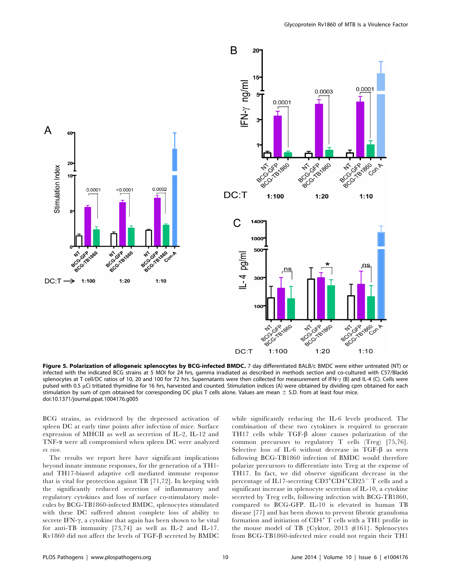



Figure 5. Polarization of allogeneic splenocytes by BCG-infected BMDC. 7 day differentiated BALB/c BMDC were either untreated (NT) or infected with the indicated BCG strains at 5 MOI for 24 hrs, gamma irradiated as described in methods section and co-cultured with C57/Black6 splenocytes at T cell/DC ratios of 10, 20 and 100 for 72 hrs. Supernatants were then collected for measurement of IFN- $\gamma$  (B) and IL-4 (C). Cells were pulsed with 0.5 µCi tritiated thymidine for 16 hrs, harvested and counted. Stimulation indices (A) were obtained by dividing cpm obtained for each stimulation by sum of cpm obtained for corresponding DC plus T cells alone. Values are mean  $\pm$  S.D. from at least four mice. doi:10.1371/journal.ppat.1004176.g005

BCG strains, as evidenced by the depressed activation of spleen DC at early time points after infection of mice. Surface expression of MHCII as well as secretion of IL-2, IL-12 and TNF-a were all compromised when spleen DC were analyzed ex vivo.

The results we report here have significant implications beyond innate immune responses, for the generation of a TH1 and TH17-biased adaptive cell mediated immune response that is vital for protection against TB [71,72]. In keeping with the significantly reduced secretion of inflammatory and regulatory cytokines and loss of surface co-stimulatory molecules by BCG-TB1860-infected BMDC, splenocytes stimulated with these DC suffered almost complete loss of ability to secrete IFN- $\gamma$ , a cytokine that again has been shown to be vital for anti-TB immunity [73,74] as well as IL-2 and IL-17. Rv1860 did not affect the levels of TGF- $\beta$  secreted by BMDC while significantly reducing the IL-6 levels produced. The combination of these two cytokines is required to generate TH17 cells while TGF- $\beta$  alone causes polarization of the common precursors to regulatory T cells (Treg) [75,76]. Selective loss of IL-6 without decrease in TGF- $\beta$  as seen following BCG-TB1860 infection of BMDC would therefore polarize precursors to differentiate into Treg at the expense of TH17. In fact, we did observe significant decrease in the percentage of IL17-secreting  $\mathrm{CD3^{+}CD4^{+}CD25^{-}~T}$  cells and a significant increase in splenocyte secretion of IL-10, a cytokine secreted by Treg cells, following infection with BCG-TB1860, compared to BCG-GFP. IL-10 is elevated in human TB disease [77] and has been shown to prevent fibrotic granuloma formation and initiation of  $CD4^+$  T cells with a TH1 profile in the mouse model of TB {Cyktor, 2013 #161}. Splenocytes from BCG-TB1860-infected mice could not regain their TH1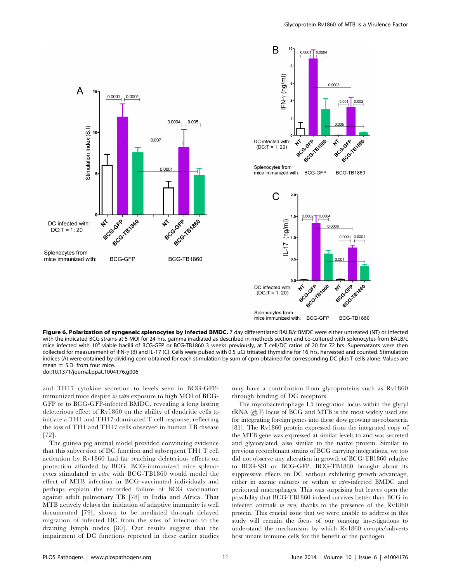



Figure 6. Polarization of syngeneic splenocytes by infected BMDC. 7 day differentiated BALB/c BMDC were either untreated (NT) or infected with the indicated BCG strains at 5 MOI for 24 hrs, gamma irradiated as described in methods section and co-cultured with splenocytes from BALB/c mice infected with 10<sup>6</sup> viable bacilli of BCG-GFP or BCG-TB1860 3 weeks previously, at T cell/DC ratios of 20 for 72 hrs. Supernatants were then collected for measurement of IFN- $\gamma$  (B) and IL-17 (C). Cells were pulsed with 0.5 µCi tritiated thymidine for 16 hrs, harvested and counted. Stimulation indices (A) were obtained by dividing cpm obtained for each stimulation by sum of cpm obtained for corresponding DC plus T cells alone. Values are mean  $\pm$  S.D. from four mice. doi:10.1371/journal.ppat.1004176.g006

and TH17 cytokine secretion to levels seen in BCG-GFPimmunized mice despite in vitro exposure to high MOI of BCG-GFP or to BCG-GFP-infected BMDC, revealing a long lasting deleterious effect of Rv1860 on the ability of dendritic cells to initiate a TH1 and TH17-dominated T cell response, reflecting the loss of TH1 and TH17 cells observed in human TB disease [72].

The guinea pig animal model provided convincing evidence that this subversion of DC function and subsequent TH1 T cell activation by Rv1860 had far reaching deleterious effects on protection afforded by BCG. BCG-immunized mice splenocytes stimulated in vitro with BCG-TB1860 would model the effect of MTB infection in BCG-vaccinated individuals and perhaps explain the recorded failure of BCG vaccination against adult pulmonary TB [78] in India and Africa. That MTB actively delays the initiation of adaptive immunity is well documented [79], shown to be mediated through delayed migration of infected DC from the sites of infection to the draining lymph nodes [80]. Our results suggest that the impairment of DC functions reported in these earlier studies may have a contribution from glycoproteins such as Rv1860 through binding of DC receptors.

The mycobacteriophage L5 integration locus within the glycyl tRNA  $(g/yV)$  locus of BCG and MTB is the most widely used site for integrating foreign genes into these slow growing mycobacteria [81]. The Rv1860 protein expressed from the integrated copy of the MTB gene was expressed at similar levels to and was secreted and glycosylated, also similar to the native protein. Similar to previous recombinant strains of BCG carrying integrations, we too did not observe any alteration in growth of BCG-TB1860 relative to BCG-SSI or BCG-GFP. BCG-TB1860 brought about its suppressive effects on DC without exhibiting growth advantage, either in axenic cultures or within in vitro-infected BMDC and peritoneal macrophages. This was surprising but leaves open the possibility that BCG-TB1860 indeed survives better than BCG in infected animals in vivo, thanks to the presence of the Rv1860 protein. This crucial issue that we were unable to address in this study will remain the focus of our ongoing investigations to understand the mechanisms by which Rv1860 co-opts/subverts host innate immune cells for the benefit of the pathogen.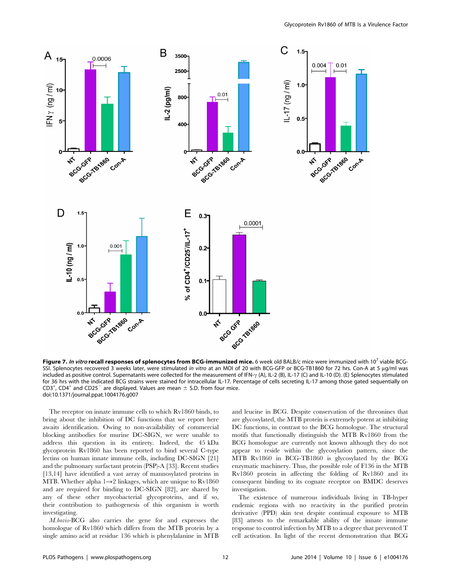

Figure 7. In vitro recall responses of splenocytes from BCG-immunized mice. 6 week old BALB/c mice were immunized with 10<sup>7</sup> viable BCG-SSI. Splenocytes recovered 3 weeks later, were stimulated in vitro at an MOI of 20 with BCG-GFP or BCG-TB1860 for 72 hrs. Con-A at 5 µg/ml was included as positive control. Supernatants were collected for the measurement of IFN- $\gamma$  (A), IL-2 (B), IL-17 (C) and IL-10 (D). (E) Splenocytes stimulated for 36 hrs with the indicated BCG strains were stained for intracellular IL-17. Percentage of cells secreting IL-17 among those gated sequentially on  $CD3^+$ ,  $CD4^+$  and  $CD25^-$  are displayed. Values are mean  $\pm$  S.D. from four mice. doi:10.1371/journal.ppat.1004176.g007

The receptor on innate immune cells to which Rv1860 binds, to bring about the inhibition of DC functions that we report here awaits identification. Owing to non-availability of commercial blocking antibodies for murine DC-SIGN, we were unable to address this question in its entirety. Indeed, the 45 kDa glycoprotein Rv1860 has been reported to bind several C-type lectins on human innate immune cells, including DC-SIGN [21] and the pulmonary surfactant protein (PSP)-A [33]. Recent studies [13,14] have identified a vast array of mannosylated proteins in MTB. Whether alpha  $1\rightarrow 2$  linkages, which are unique to Rv1860 and are required for binding to DC-SIGN [82], are shared by any of these other mycobacterial glycoproteins, and if so, their contribution to pathogenesis of this organism is worth investigating.

M.bovis-BCG also carries the gene for and expresses the homologue of Rv1860 which differs from the MTB protein by a single amino acid at residue 136 which is phenylalanine in MTB and leucine in BCG. Despite conservation of the threonines that are glycosylated, the MTB protein is extremely potent at inhibiting DC functions, in contrast to the BCG homologue. The structural motifs that functionally distinguish the MTB Rv1860 from the BCG homologue are currently not known although they do not appear to reside within the glycosylation pattern, since the MTB Rv1860 in BCG-TB1860 is glycosylated by the BCG enzymatic machinery. Thus, the possible role of F136 in the MTB Rv1860 protein in affecting the folding of Rv1860 and its consequent binding to its cognate receptor on BMDC deserves investigation.

The existence of numerous individuals living in TB-hyper endemic regions with no reactivity in the purified protein derivative (PPD) skin test despite continual exposure to MTB [83] attests to the remarkable ability of the innate immune response to control infection by MTB to a degree that prevented T cell activation. In light of the recent demonstration that BCG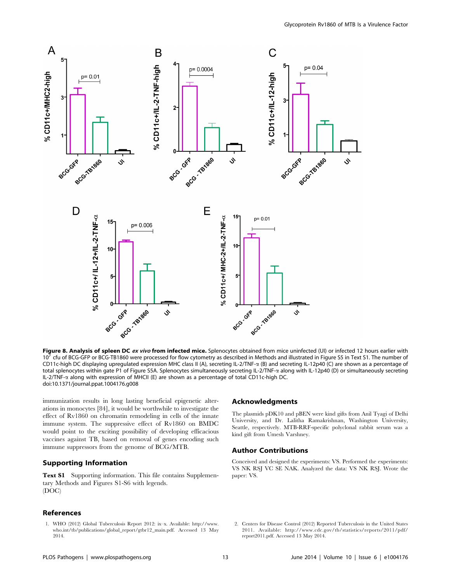

Figure 8. Analysis of spleen DC ex vivo from infected mice. Splenocytes obtained from mice uninfected (UI) or infected 12 hours earlier with 10<sup>7</sup> cfu of BCG-GFP or BCG-TB1860 were processed for flow cytometry as described in Methods and illustrated in Figure S5 in Text S1. The number of CD11c-high DC displaying upregulated expression MHC class II (A), secreting IL-2/TNF- $\alpha$  (B) and secreting IL-12p40 (C) are shown as a percentage of total splenocytes within gate P1 of Figure S5A. Splenocytes simultaneously secreting IL-2/TNF-a along with IL-12p40 (D) or simultaneously secreting IL-2/TNF-a along with expression of MHCII (E) are shown as a percentage of total CD11c-high DC. doi:10.1371/journal.ppat.1004176.g008

immunization results in long lasting beneficial epigenetic alterations in monocytes [84], it would be worthwhile to investigate the effect of Rv1860 on chromatin remodeling in cells of the innate immune system. The suppressive effect of Rv1860 on BMDC would point to the exciting possibility of developing efficacious vaccines against TB, based on removal of genes encoding such immune suppressors from the genome of BCG/MTB.

## Supporting Information

Text S1 Supporting information. This file contains Supplementary Methods and Figures S1-S6 with legends. (DOC)

# References

1. WHO (2012) Global Tuberculosis Report 2012: ix–x. Available: [http://www.](http://www.who.int/tb/publications/global_report/gtbr12_main.pdf) [who.int/tb/publications/global\\_report/gtbr12\\_main.pdf.](http://www.who.int/tb/publications/global_report/gtbr12_main.pdf) Accessed 13 May 2014.

## Acknowledgments

The plasmids pDK10 and pBEN were kind gifts from Anil Tyagi of Delhi University, and Dr. Lalitha Ramakrishnan, Washington University, Seattle, respectively. MTB-RRF-specific polyclonal rabbit serum was a kind gift from Umesh Varshney.

## Author Contributions

Conceived and designed the experiments: VS. Performed the experiments: VS NK RSJ VC SE NAK. Analyzed the data: VS NK RSJ. Wrote the paper: VS.

2. Centers for Disease Control (2012) Reported Tuberculosis in the United States 2011. Available: [http://www.cdc.gov/tb/statistics/reports/2011/pdf/](http://www.cdc.gov/tb/statistics/reports/2011/pdf/report2011.pdf) [report2011.pdf.](http://www.cdc.gov/tb/statistics/reports/2011/pdf/report2011.pdf) Accessed 13 May 2014.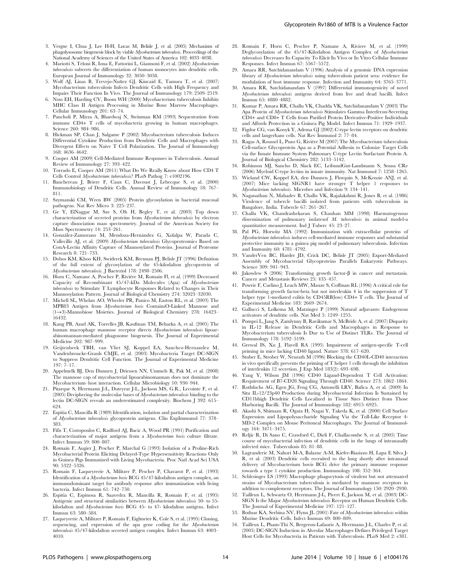- 3. Vergne I, Chua J, Lee H-H, Lucas M, Belisle J, et al. (2005) Mechanism of phagolysosome biogenesis block by viable Mycobacterium tuberculosis. Proceedings of the National Academy of Sciences of the United States of America 102: 4033–4038.
- 4. Mariotti S, Teloni R, Iona E, Fattorini L, Giannoni F, et al. (2002) Mycobacterium tuberculosis subverts the differentiation of human monocytes into dendritic cells. European Journal of Immunology 32: 3050–3058.
- 5. Wolf AJ, Linas B, Trevejo-Nuñez GJ, Kincaid E, Tamura T, et al. (2007) Mycobacterium tuberculosis Infects Dendritic Cells with High Frequency and Impairs Their Function In Vivo. The Journal of Immunology 179: 2509–2519.
- 6. Noss EH, Harding CV, Boom WH (2000) Mycobacterium tuberculosis Inhibits MHC Class II Antigen Processing in Murine Bone Marrow Macrophages. Cellular Immunology 201: 63–74.
- 7. Pancholi P, Mirza A, Bhardwaj N, Steinman RM (1993) Sequestration from immune CD4+ T cells of mycobacteria growing in human macrophages. Science 260: 984–986.
- 8. Hickman SP, Chan J, Salgame P (2002) Mycobacterium tuberculosis Induces Differential Cytokine Production from Dendritic Cells and Macrophages with Divergent Effects on Naive T Cell Polarization. The Journal of Immunology 168: 4636–4642.
- 9. Cooper AM (2009) Cell-Mediated Immune Responses in Tuberculosis. Annual Review of Immunology 27: 393–422.
- 10. Torrado E, Cooper AM (2011) What Do We Really Know about How CD4 T Cells Control Mycobacterium tuberculosis? PLoS Pathog 7: e1002196.
- 11. Banchereau J, Briere F, Caux C, Davoust J, Lebecque S, et al. (2000) Immunobiology of Dendritic Cells. Annual Review of Immunology 18: 767– 811.
- 12. Szymanski CM, Wren BW (2005) Protein glycosylation in bacterial mucosal pathogens. Nat Rev Micro 3: 225–237.
- 13. Ge Y, ElNaggar M, Sze S, Oh H, Begley T, et al. (2003) Top down characterization of secreted proteins from Mycobacterium tuberculosis by electron capture dissociation mass spectrometry. Journal of the American Society for Mass Spectrometry 14: 253–261.
- 14. González-Zamorano M, Mendoza-Hernández G, Xolalpa W, Parada C, Vallecillo AJ, et al. (2009) Mycobacterium tuberculosis Glycoproteomics Based on ConA-Lectin Affinity Capture of Mannosylated Proteins. Journal of Proteome Research 8: 721–733.
- 15. Dobos KM, Khoo KH, Swiderek KM, Brennan PJ, Belisle JT (1996) Definition of the full extent of glycosylation of the 45-kilodalton glycoprotein of Mycobacterium tuberculosis. J Bacteriol 178: 2498–2506.
- 16. Horn C, Namane A, Pescher P, Rivière M, Romain Fl, et al. (1999) Decreased Capacity of Recombinant 45/47-kDa Molecules (Apa) of Mycobacterium tuberculosis to Stimulate T Lymphocyte Responses Related to Changes in Their Mannosylation Pattern. Journal of Biological Chemistry 274: 32023–32030.
- 17. Michell SL, Whelan AO, Wheeler PR, Panico M, Easton RL, et al. (2003) The MPB83 Antigen from Mycobacterium bovis ContainsO-Linked Mannose and (1-3)-Mannobiose Moieties. Journal of Biological Chemistry 278: 16423– 16432.
- 18. Kang PB, Azad AK, Torrelles JB, Kaufman TM, Beharka A, et al. (2005) The human macrophage mannose receptor directs Mycobacterium tuberculosis lipoarabinomannan-mediated phagosome biogenesis. The Journal of Experimental Medicine 202: 987–999.
- 19. Geijtenbeek TBH, van Vliet SJ, Koppel EA, Sanchez-Hernandez M, Vandenbroucke-Grauls CMJE, et al. (2003) Mycobacteria Target DC-SIGN to Suppress Dendritic Cell Function. The Journal of Experimental Medicine  $197: \overline{7} - 17.$
- 20. Appelmelk BJ, Den Dunnen J, Driessen NN, Ummels R, Pak M, et al. (2008) The mannose cap of mycobacterial lipoarabinomannan does not dominate the Mycobacterium–host interaction. Cellular Microbiology 10: 930–944.
- 21. Pitarque S, Herrmann J-L, Duteyrat J-L, Jackson MS, G.R., Lecointe F, et al. (2005) Deciphering the molecular bases of Mycobacterium tuberculosis binding to the lectin DC-SIGN reveals an underestimated complexity. Biochem J 392: 615– 624.
- 22. Espitia C, Mancilla R (1989) Identification, isolation and partial characterization of Mycobacterium tuberculosis glycoprotein antigens. Clin ExpImmunol 77: 378– 383.
- 23. Fifis T, Costopoulos C, Radford AJ, Bacic A, Wood PR (1991) Purification and characterization of major antigens from a Mycobacterium bovis culture filtrate. Infect Immun 59: 800–807.
- 24. Romain F, Augier J, Pescher P, Marchal G (1993) Isolation of a Proline-Rich Mycobacterial Protein Eliciting Delayed-Type Hypersensitivity Reactions Only in Guinea Pigs Immunized with Living Mycobacteria. Proc Natl Acad Sci USA 90: 5322–5326.
- 25. Romain F, Laqueyrerie A, Militzer P, Pescher P, Chavarot P, et al. (1993) Identification of a Mycobacterium bovis BCG 45/47-kilodalton antigen complex, an immunodominant target for antibody response after immunization with living bacteria. Infect Immun 61: 742–750.
- 26. Espitia C, Espinosa R, Saavedra R, Mancilla R, Romain F, et al. (1995) Antigenic and structural similarities between Mycobacterium tuberculosis 50- to 55 kilodalton and Mycobacterium bovis BCG 45- to 47- kilodalton antigens. Infect Immun 63: 580–584.
- 27. Laqueyrerie A, Militzer P, Romain F, Eiglmeier K, Cole S, et al. (1995) Cloning, sequencing, and expression of the apa gene coding for the Mycobacterium tuberculosis 45/47-kilodalton secreted antigen complex. Infect Immun 63: 4003– 4010.

28. Romain F, Horn C, Pescher P, Namane A, Riviere M, et al. (1999)

Glycoprotein Rv1860 of MTB Is a Virulence Factor

- Deglycosylation of the 45/47-Kilodalton Antigen Complex of Mycobacterium tuberculosis Decreases Its Capacity To Elicit In Vivo or In Vitro Cellular Immune Responses. Infect Immun 67: 5567–5572. 29. Amara RR, Satchidanandam V (1996) Analysis of a genomic DNA expression
- library of *Mycobacterium tuberculosis* using tuberculosis patient sera: evidence for modulation of host immune response. Infection and Immunity 64: 3765–3771.
- 30. Amara RR, Satchidanandam V (1997) Differential immunogenicity of novel Mycobacterium tuberculosis antigens derived from live and dead bacilli. Infect Immun 65: 4880–4882.
- 31. Kumar P, Amara RR, Challu VK, Chadda VK, Satchidanandam V (2003) The Apa Protein of Mycobacterium tuberculosis Stimulates Gamma Interferon-Secreting CD4+ and CD8+ T Cells from Purified Protein Derivative-Positive Individuals and Affords Protection in a Guinea Pig Model. Infect Immun 71: 1929–1937.
- 32. Figdor CG, van Kooyk Y, Adema GJ (2002) C-type lectin receptors on dendritic cells and langerhans cells. Nat Rev Immunol 2: 77–84.
- 33. Ragas A, Roussel L, Puzo G, Rivière M (2007) The Mycobacterium tuberculosis Cell-surface Glycoprotein Apa as a Potential Adhesin to Colonize Target Cells via the Innate Immune System Pulmonary C-type Lectin Surfactant Protein A. Journal of Biological Chemistry 282: 5133–5142.
- 34. Robinson MJ, Sancho D, Slack EC, LeibundGut-Landmann S, Sousa CRe (2006) Myeloid C-type lectins in innate immunity. Nat Immunol 7: 1258–1265.
- 35. Wieland CW, Koppel EA, den Dunnen J, Florquin S, McKenzie ANJ, et al. (2007) Mice lacking SIGNR1 have stronger T helper 1 responses to Mycobacterium tuberculosis. Microbes and Infection 9: 134–141.
- 36. Naganathan N, Mahadev B, Challu VK, Rajalakshmi R, Jones B, et al. (1986) Virulence of tubercle bacilli isolated from patients with tuberculosis in Bangalore, India. Tubercle 67: 261–267.
- 37. Challu VK, Chandrashekaran S, Chauhan MM (1998) Haematogenous dissemination of pulmonary isolatesof M. tuberculosis in animal model-a quantitative measurement. Ind J Tuberc 45: 23–27.
- 38. Pal PG, Horwitz MA (1992) Immunization with extracellular proteins of Mycobacterium tuberculosis induces cell-mediated immune responses and substantial protective immunity in a guinea pig model of pulmonary tuberculosis. Infection and Immunity 60: 4781–4792.
- 39. VanderVen BC, Harder JD, Crick DC, Belisle JT (2005) Export-Mediated Assembly of Mycobacterial Glycoproteins Parallels Eukaryotic Pathways. Science 309: 941–943.
- 40. Jakowlew S (2006) Transforming growth factor- $\beta$  in cancer and metastasis. Cancer and Metastasis Reviews 25: 435–457.
- 41. Powrie F, Carlino J, Leach MW, Mauze S, Coffman RL (1996) A critical role for transforming growth factor-beta but not interleukin 4 in the suppression of T helper type 1-mediated colitis by CD45RB(low) CD4+ T cells. The Journal of Experimental Medicine 183: 2669–2674.
- 42. Gallucci S, Lolkema M, Matzinger P (1999) Natural adjuvants: Endogenous activators of dendritic cells. Nat Med 5: 1249–1255.
- 43. Pompei L, Jang S, Zamlynny B, Ravikumar S, McBride A, et al. (2007) Disparity in IL-12 Release in Dendritic Cells and Macrophages in Response to Mycobacterium tuberculosis Is Due to Use of Distinct TLRs. The Journal of Immunology 178: 5192–5199.
- 44. Grewal IS, Xu J, Flavell RA (1995) Impairment of antigen-specific T-cell priming in mice lacking CD40 ligand. Nature 378: 617–620.
- 45. Stuber E, Strober W, Neurath M (1996) Blocking the CD40L-CD40 interaction in vivo specifically prevents the priming of T helper 1 cells through the inhibition of interleukin 12 secretion. J Exp Med 183(2): 693–698.
- 46. Yang Y, Wilson JM (1996) CD40 Ligand-Dependent T Cell Activation: Requirement of B7-CD28 Signaling Through CD40. Science 273: 1862–1864.
- 47. Rothfuchs AG, Egen JG, Feng CG, Antonelli LRV, Bafica A, et al. (2009) In Situ IL-12/23p40 Production during Mycobacterial Infection Is Sustained by CD11bhigh Dendritic Cells Localized in Tissue Sites Distinct from Those Harboring Bacilli. The Journal of Immunology 182: 6915–6925.
- 48. Akashi S, Shimazu R, Ogata H, Nagai Y, Takeda K, et al. (2000) Cell Surface Expression and Lipopolysaccharide Signaling Via the Toll-Like Receptor 4- MD-2 Complex on Mouse Peritoneal Macrophages. The Journal of Immunology 164: 3471–3475.
- 49. Reljic R, Di Sano C, Crawford C, Dieli F, Challacombe S, et al. (2005) Time course of mycobacterial infection of dendritic cells in the lungs of intranasally infected mice. Tuberculosis 85: 81–88.
- 50. Lagranderie M, Nahori M-A, Balazuc A-M, Kiefer-Biasizzo H, Lapa E Silva J-R, et al. (2003) Dendritic cells recruited to the lung shortly after intranasal delivery of Mycobacterium bovis BCG drive the primary immune response towards a type 1 cytokine production. Immunology 108: 352–364.
- 51. Schlesinger LS (1993) Macrophage phagocytosis of virulent but not attenuated strains of Mycobacterium tuberculosis is mediated by mannose receptors in addition to complement receptors. The Journal of Immunology 150: 2920–2930.
- 52. Tailleux L, Schwartz O, Herrmann J-L, Pivert E, Jackson M, et al. (2003) DC-SIGN Is the Major Mycobacterium tuberculosis Receptor on Human Dendritic Cells. The Journal of Experimental Medicine 197: 121–127.
- 53. Bodnar KA, Serbina NV, Flynn JL (2001) Fate of Mycobacterium tuberculosis within Murine Dendritic Cells. Infect Immun 69: 800–809.
- 54. Tailleux L, Pham-Thi N, Bergeron-Lafaurie A, Herrmann J-L, Charles P, et al. (2005) DC-SIGN Induction in Alveolar Macrophages Defines Privileged Target Host Cells for Mycobacteria in Patients with Tuberculosis. PLoS Med 2: e381.